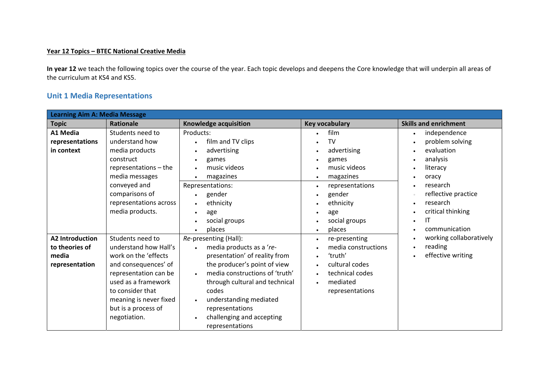## **Year 12 Topics – BTEC National Creative Media**

**In year 12** we teach the following topics over the course of the year. Each topic develops and deepens the Core knowledge that will underpin all areas of the curriculum at KS4 and KS5.

## **Unit 1 Media Representations**

| <b>Learning Aim A: Media Message</b>                                |                                                                                                                                                                                                                                |                                                                                                                                                                                                                                                                                                                                                                |                                                                                                                                                                                                                              |                                                                                                                                                                                                        |  |
|---------------------------------------------------------------------|--------------------------------------------------------------------------------------------------------------------------------------------------------------------------------------------------------------------------------|----------------------------------------------------------------------------------------------------------------------------------------------------------------------------------------------------------------------------------------------------------------------------------------------------------------------------------------------------------------|------------------------------------------------------------------------------------------------------------------------------------------------------------------------------------------------------------------------------|--------------------------------------------------------------------------------------------------------------------------------------------------------------------------------------------------------|--|
| <b>Topic</b>                                                        | <b>Rationale</b>                                                                                                                                                                                                               | Knowledge acquisition                                                                                                                                                                                                                                                                                                                                          | Key vocabulary                                                                                                                                                                                                               | <b>Skills and enrichment</b>                                                                                                                                                                           |  |
| A1 Media<br>representations<br>in context                           | Students need to<br>understand how<br>media products<br>construct<br>representations - the<br>media messages<br>conveyed and<br>comparisons of<br>representations across<br>media products.                                    | Products:<br>film and TV clips<br>$\bullet$<br>advertising<br>$\bullet$<br>games<br>$\bullet$<br>music videos<br>$\bullet$<br>magazines<br>$\bullet$<br>Representations:<br>gender<br>$\bullet$<br>ethnicity<br>$\bullet$<br>age<br>$\bullet$                                                                                                                  | film<br>$\bullet$<br>TV<br>$\bullet$<br>advertising<br>$\bullet$<br>games<br>$\bullet$<br>music videos<br>magazines<br>$\bullet$<br>representations<br>$\bullet$<br>gender<br>$\bullet$<br>ethnicity<br>age                  | independence<br>$\bullet$<br>problem solving<br>$\bullet$<br>evaluation<br>analysis<br>$\bullet$<br>literacy<br>oracy<br>research<br>reflective practice<br>research<br>critical thinking<br>$\bullet$ |  |
| <b>A2 Introduction</b><br>to theories of<br>media<br>representation | Students need to<br>understand how Hall's<br>work on the 'effects<br>and consequences' of<br>representation can be<br>used as a framework<br>to consider that<br>meaning is never fixed<br>but is a process of<br>negotiation. | social groups<br>$\bullet$<br>places<br>Re-presenting (Hall):<br>media products as a 're-<br>presentation' of reality from<br>the producer's point of view<br>media constructions of 'truth'<br>through cultural and technical<br>codes<br>understanding mediated<br>$\bullet$<br>representations<br>challenging and accepting<br>$\bullet$<br>representations | social groups<br>places<br>$\bullet$<br>re-presenting<br>$\bullet$<br>media constructions<br>'truth'<br>$\bullet$<br>cultural codes<br>$\bullet$<br>technical codes<br>$\bullet$<br>mediated<br>$\bullet$<br>representations | IT<br>$\bullet$<br>communication<br>working collaboratively<br>reading<br>effective writing                                                                                                            |  |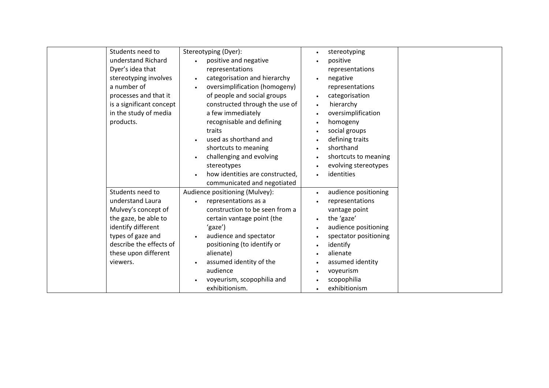| Students need to         | Stereotyping (Dyer):              | stereotyping<br>$\bullet$         |
|--------------------------|-----------------------------------|-----------------------------------|
| understand Richard       | positive and negative             | positive                          |
| Dyer's idea that         | representations                   | representations                   |
| stereotyping involves    | categorisation and hierarchy      | negative                          |
| a number of              | oversimplification (homogeny)     | representations                   |
| processes and that it    | of people and social groups       | categorisation<br>$\bullet$       |
| is a significant concept | constructed through the use of    | hierarchy                         |
| in the study of media    | a few immediately                 | oversimplification                |
| products.                | recognisable and defining         | homogeny<br>$\bullet$             |
|                          | traits                            | social groups                     |
|                          | used as shorthand and             | defining traits<br>$\bullet$      |
|                          | shortcuts to meaning              | shorthand<br>$\bullet$            |
|                          | challenging and evolving          | shortcuts to meaning              |
|                          | stereotypes                       | evolving stereotypes<br>$\bullet$ |
|                          | how identities are constructed,   | identities                        |
|                          | communicated and negotiated       |                                   |
| Students need to         | Audience positioning (Mulvey):    | audience positioning<br>$\bullet$ |
| understand Laura         | representations as a<br>$\bullet$ | representations                   |
| Mulvey's concept of      | construction to be seen from a    | vantage point                     |
| the gaze, be able to     | certain vantage point (the        | the 'gaze'<br>$\bullet$           |
| identify different       | 'gaze')                           | audience positioning              |
| types of gaze and        | audience and spectator            | spectator positioning             |
| describe the effects of  | positioning (to identify or       | identify<br>$\bullet$             |
| these upon different     | alienate)                         | alienate<br>$\bullet$             |
| viewers.                 | assumed identity of the           | assumed identity<br>$\bullet$     |
|                          | audience                          | voyeurism                         |
|                          | voyeurism, scopophilia and        | scopophilia                       |
|                          | exhibitionism.                    | exhibitionism                     |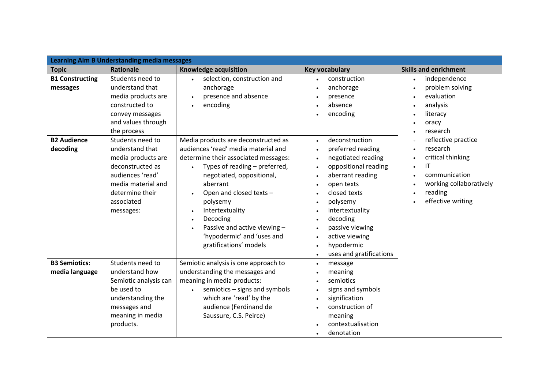| <b>Learning Aim B Understanding media messages</b> |                                                                                                                                                                       |                                                                                                                                                                                                                                                                                                                                                                                      |                                                                                                                                                                                                                                                                                                                                                                                                                                                    |                                                                                                                                                                  |
|----------------------------------------------------|-----------------------------------------------------------------------------------------------------------------------------------------------------------------------|--------------------------------------------------------------------------------------------------------------------------------------------------------------------------------------------------------------------------------------------------------------------------------------------------------------------------------------------------------------------------------------|----------------------------------------------------------------------------------------------------------------------------------------------------------------------------------------------------------------------------------------------------------------------------------------------------------------------------------------------------------------------------------------------------------------------------------------------------|------------------------------------------------------------------------------------------------------------------------------------------------------------------|
| <b>Topic</b>                                       | Rationale                                                                                                                                                             | Knowledge acquisition                                                                                                                                                                                                                                                                                                                                                                | <b>Key vocabulary</b>                                                                                                                                                                                                                                                                                                                                                                                                                              | <b>Skills and enrichment</b>                                                                                                                                     |
| <b>B1 Constructing</b><br>messages                 | Students need to<br>understand that<br>media products are<br>constructed to<br>convey messages<br>and values through<br>the process                                   | selection, construction and<br>$\bullet$<br>anchorage<br>presence and absence<br>encoding                                                                                                                                                                                                                                                                                            | construction<br>$\bullet$<br>anchorage<br>$\bullet$<br>presence<br>absence<br>$\bullet$<br>encoding<br>$\bullet$                                                                                                                                                                                                                                                                                                                                   | independence<br>$\bullet$<br>problem solving<br>$\bullet$<br>evaluation<br>analysis<br>literacy<br>$\bullet$<br>oracy<br>research                                |
| <b>B2 Audience</b><br>decoding                     | Students need to<br>understand that<br>media products are<br>deconstructed as<br>audiences 'read'<br>media material and<br>determine their<br>associated<br>messages: | Media products are deconstructed as<br>audiences 'read' media material and<br>determine their associated messages:<br>Types of reading - preferred,<br>$\bullet$<br>negotiated, oppositional,<br>aberrant<br>Open and closed texts -<br>polysemy<br>Intertextuality<br>Decoding<br>$\bullet$<br>Passive and active viewing -<br>'hypodermic' and 'uses and<br>gratifications' models | deconstruction<br>$\bullet$<br>preferred reading<br>$\bullet$<br>negotiated reading<br>$\bullet$<br>oppositional reading<br>$\bullet$<br>aberrant reading<br>$\bullet$<br>open texts<br>$\bullet$<br>closed texts<br>$\bullet$<br>polysemy<br>$\bullet$<br>intertextuality<br>$\bullet$<br>decoding<br>$\bullet$<br>passive viewing<br>$\bullet$<br>active viewing<br>$\bullet$<br>hypodermic<br>$\bullet$<br>uses and gratifications<br>$\bullet$ | reflective practice<br>research<br>critical thinking<br>IT<br>$\bullet$<br>communication<br>working collaboratively<br>reading<br>$\bullet$<br>effective writing |
| <b>B3 Semiotics:</b><br>media language             | Students need to<br>understand how<br>Semiotic analysis can<br>be used to<br>understanding the<br>messages and<br>meaning in media<br>products.                       | Semiotic analysis is one approach to<br>understanding the messages and<br>meaning in media products:<br>semiotics - signs and symbols<br>$\bullet$<br>which are 'read' by the<br>audience (Ferdinand de<br>Saussure, C.S. Peirce)                                                                                                                                                    | message<br>$\bullet$<br>meaning<br>$\bullet$<br>semiotics<br>$\bullet$<br>signs and symbols<br>$\bullet$<br>signification<br>$\bullet$<br>construction of<br>$\bullet$<br>meaning<br>contextualisation<br>denotation<br>$\bullet$                                                                                                                                                                                                                  |                                                                                                                                                                  |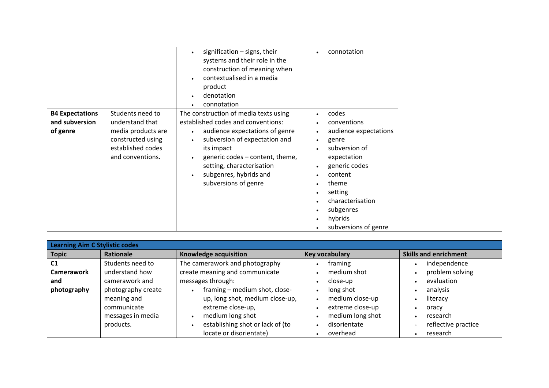|                                                      |                                                                                                                         | signification $-$ signs, their<br>systems and their role in the<br>construction of meaning when<br>contextualised in a media<br>product<br>denotation<br>connotation                                                                                                           | $\bullet$                                                                                                                                        | connotation                                                                                                                                                                                                |
|------------------------------------------------------|-------------------------------------------------------------------------------------------------------------------------|--------------------------------------------------------------------------------------------------------------------------------------------------------------------------------------------------------------------------------------------------------------------------------|--------------------------------------------------------------------------------------------------------------------------------------------------|------------------------------------------------------------------------------------------------------------------------------------------------------------------------------------------------------------|
| <b>B4 Expectations</b><br>and subversion<br>of genre | Students need to<br>understand that<br>media products are<br>constructed using<br>established codes<br>and conventions. | The construction of media texts using<br>established codes and conventions:<br>audience expectations of genre<br>subversion of expectation and<br>its impact<br>generic codes – content, theme,<br>setting, characterisation<br>subgenres, hybrids and<br>subversions of genre | $\bullet$<br>٠<br>$\bullet$<br>$\bullet$<br>$\bullet$<br>$\bullet$<br>$\bullet$<br>$\bullet$<br>$\bullet$<br>$\bullet$<br>$\bullet$<br>$\bullet$ | codes<br>conventions<br>audience expectations<br>genre<br>subversion of<br>expectation<br>generic codes<br>content<br>theme<br>setting<br>characterisation<br>subgenres<br>hybrids<br>subversions of genre |

| Learning Aim C Stylistic codes |                    |                                  |                  |                              |  |
|--------------------------------|--------------------|----------------------------------|------------------|------------------------------|--|
| <b>Topic</b>                   | <b>Rationale</b>   | Knowledge acquisition            | Key vocabulary   | <b>Skills and enrichment</b> |  |
| C <sub>1</sub>                 | Students need to   | The camerawork and photography   | framing          | independence                 |  |
| <b>Camerawork</b>              | understand how     | create meaning and communicate   | medium shot      | problem solving              |  |
| and                            | camerawork and     | messages through:                | close-up         | evaluation                   |  |
| photography                    | photography create | framing - medium shot, close-    | long shot        | analysis                     |  |
|                                | meaning and        | up, long shot, medium close-up,  | medium close-up  | literacy                     |  |
|                                | communicate        | extreme close-up,                | extreme close-up | oracy                        |  |
|                                | messages in media  | medium long shot                 | medium long shot | research<br>$\bullet$        |  |
|                                | products.          | establishing shot or lack of (to | disorientate     | reflective practice          |  |
|                                |                    | locate or disorientate)          | overhead         | research<br>٠                |  |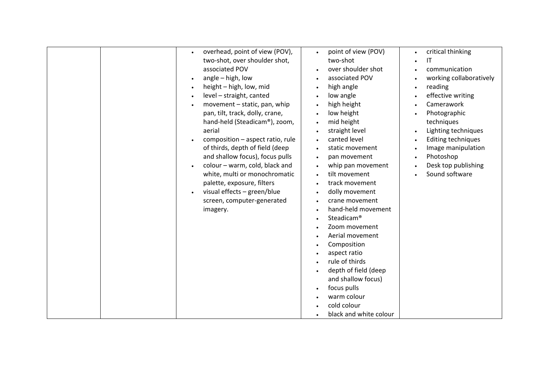| overhead, point of view (POV),<br>point of view (POV)<br>critical thinking<br>two-shot, over shoulder shot,<br>two-shot<br>$\mathsf{I}\mathsf{T}$<br>associated POV<br>over shoulder shot<br>communication<br>angle - high, low<br>associated POV<br>working collaboratively<br>$\bullet$<br>height - high, low, mid<br>high angle<br>reading<br>$\bullet$<br>level - straight, canted<br>effective writing<br>low angle<br>$\bullet$<br>Camerawork<br>movement - static, pan, whip<br>high height<br>low height<br>pan, tilt, track, dolly, crane,<br>Photographic<br>hand-held (Steadicam®), zoom,<br>mid height<br>techniques<br>straight level<br>Lighting techniques<br>aerial<br>composition - aspect ratio, rule<br>canted level<br><b>Editing techniques</b><br>of thirds, depth of field (deep<br>static movement<br>Image manipulation<br>and shallow focus), focus pulls<br>Photoshop<br>pan movement<br>colour - warm, cold, black and<br>Desk top publishing<br>whip pan movement<br>$\bullet$<br>Sound software<br>white, multi or monochromatic<br>tilt movement<br>palette, exposure, filters<br>track movement<br>visual effects - green/blue<br>dolly movement<br>screen, computer-generated<br>crane movement<br>hand-held movement<br>imagery.<br>Steadicam <sup>®</sup> |
|----------------------------------------------------------------------------------------------------------------------------------------------------------------------------------------------------------------------------------------------------------------------------------------------------------------------------------------------------------------------------------------------------------------------------------------------------------------------------------------------------------------------------------------------------------------------------------------------------------------------------------------------------------------------------------------------------------------------------------------------------------------------------------------------------------------------------------------------------------------------------------------------------------------------------------------------------------------------------------------------------------------------------------------------------------------------------------------------------------------------------------------------------------------------------------------------------------------------------------------------------------------------------------------------|
| Zoom movement<br>Aerial movement<br>Composition<br>aspect ratio<br>rule of thirds<br>depth of field (deep<br>and shallow focus)<br>focus pulls<br>warm colour<br>cold colour<br>black and white colour                                                                                                                                                                                                                                                                                                                                                                                                                                                                                                                                                                                                                                                                                                                                                                                                                                                                                                                                                                                                                                                                                       |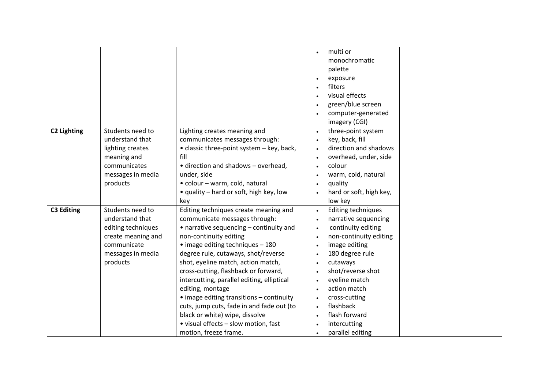|                    |                             |                                            | $\bullet$ | multi or                        |
|--------------------|-----------------------------|--------------------------------------------|-----------|---------------------------------|
|                    |                             |                                            |           | monochromatic                   |
|                    |                             |                                            |           | palette                         |
|                    |                             |                                            |           | exposure                        |
|                    |                             |                                            |           | filters                         |
|                    |                             |                                            |           | visual effects                  |
|                    |                             |                                            |           | green/blue screen               |
|                    |                             |                                            |           | computer-generated              |
|                    |                             |                                            | $\bullet$ | imagery (CGI)                   |
| <b>C2 Lighting</b> | Students need to            | Lighting creates meaning and               |           | three-point system              |
|                    | understand that             | communicates messages through:             | $\bullet$ | key, back, fill                 |
|                    | lighting creates            | • classic three-point system - key, back,  | $\bullet$ | direction and shadows           |
|                    |                             | fill                                       |           |                                 |
|                    | meaning and<br>communicates | • direction and shadows - overhead,        | $\bullet$ | overhead, under, side<br>colour |
|                    |                             |                                            |           |                                 |
|                    | messages in media           | under, side                                |           | warm, cold, natural             |
|                    | products                    | · colour - warm, cold, natural             | $\bullet$ | quality                         |
|                    |                             | • quality – hard or soft, high key, low    | $\bullet$ | hard or soft, high key,         |
|                    |                             | key                                        |           | low key                         |
| <b>C3 Editing</b>  | Students need to            | Editing techniques create meaning and      | $\bullet$ | <b>Editing techniques</b>       |
|                    | understand that             | communicate messages through:              | $\bullet$ | narrative sequencing            |
|                    | editing techniques          | • narrative sequencing - continuity and    | $\bullet$ | continuity editing              |
|                    | create meaning and          | non-continuity editing                     | $\bullet$ | non-continuity editing          |
|                    | communicate                 | • image editing techniques - 180           | $\bullet$ | image editing                   |
|                    | messages in media           | degree rule, cutaways, shot/reverse        |           | 180 degree rule                 |
|                    | products                    | shot, eyeline match, action match,         | $\bullet$ | cutaways                        |
|                    |                             | cross-cutting, flashback or forward,       | $\bullet$ | shot/reverse shot               |
|                    |                             | intercutting, parallel editing, elliptical | $\bullet$ | eyeline match                   |
|                    |                             | editing, montage                           | $\bullet$ | action match                    |
|                    |                             | • image editing transitions – continuity   | $\bullet$ | cross-cutting                   |
|                    |                             | cuts, jump cuts, fade in and fade out (to  |           | flashback                       |
|                    |                             | black or white) wipe, dissolve             | $\bullet$ | flash forward                   |
|                    |                             | • visual effects - slow motion, fast       | $\bullet$ | intercutting                    |
|                    |                             | motion, freeze frame.                      | $\bullet$ | parallel editing                |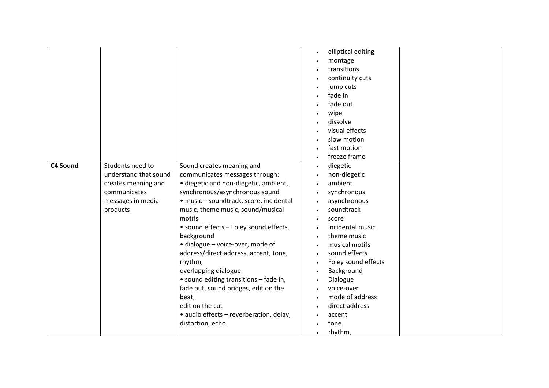|          |                       |                                         | elliptical editing<br>$\bullet$  |
|----------|-----------------------|-----------------------------------------|----------------------------------|
|          |                       |                                         | montage                          |
|          |                       |                                         | transitions                      |
|          |                       |                                         | continuity cuts                  |
|          |                       |                                         | jump cuts                        |
|          |                       |                                         | fade in                          |
|          |                       |                                         | fade out                         |
|          |                       |                                         | wipe                             |
|          |                       |                                         | dissolve                         |
|          |                       |                                         | visual effects                   |
|          |                       |                                         | slow motion                      |
|          |                       |                                         | fast motion                      |
|          |                       |                                         | freeze frame<br>$\bullet$        |
| C4 Sound | Students need to      | Sound creates meaning and               | diegetic                         |
|          | understand that sound | communicates messages through:          | $\bullet$<br>non-diegetic        |
|          |                       |                                         | ambient                          |
|          | creates meaning and   | · diegetic and non-diegetic, ambient,   |                                  |
|          | communicates          | synchronous/asynchronous sound          | synchronous<br>$\bullet$         |
|          | messages in media     | · music - soundtrack, score, incidental | asynchronous<br>$\bullet$        |
|          | products              | music, theme music, sound/musical       | soundtrack                       |
|          |                       | motifs                                  | score<br>$\bullet$               |
|          |                       | • sound effects - Foley sound effects,  | incidental music<br>$\bullet$    |
|          |                       | background                              | theme music<br>$\bullet$         |
|          |                       | · dialogue - voice-over, mode of        | musical motifs                   |
|          |                       | address/direct address, accent, tone,   | sound effects<br>$\bullet$       |
|          |                       | rhythm,                                 | Foley sound effects<br>$\bullet$ |
|          |                       | overlapping dialogue                    | Background<br>$\bullet$          |
|          |                       | • sound editing transitions - fade in,  | Dialogue<br>$\bullet$            |
|          |                       | fade out, sound bridges, edit on the    | voice-over                       |
|          |                       | beat,                                   | mode of address<br>$\bullet$     |
|          |                       | edit on the cut                         | direct address                   |
|          |                       | · audio effects - reverberation, delay, | accent                           |
|          |                       | distortion, echo.                       | tone                             |
|          |                       |                                         | rhythm,<br>$\bullet$             |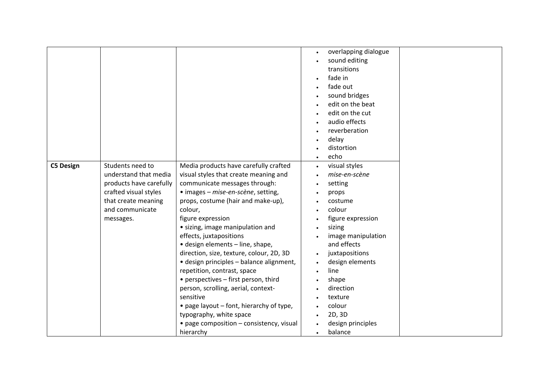|                  |                         |                                          | overlapping dialogue        |
|------------------|-------------------------|------------------------------------------|-----------------------------|
|                  |                         |                                          | sound editing               |
|                  |                         |                                          | transitions                 |
|                  |                         |                                          | fade in                     |
|                  |                         |                                          | fade out                    |
|                  |                         |                                          | sound bridges               |
|                  |                         |                                          | edit on the beat            |
|                  |                         |                                          | edit on the cut             |
|                  |                         |                                          | audio effects               |
|                  |                         |                                          | reverberation               |
|                  |                         |                                          |                             |
|                  |                         |                                          | delay<br>distortion         |
|                  |                         |                                          |                             |
|                  |                         |                                          | echo<br>$\bullet$           |
| <b>C5 Design</b> | Students need to        | Media products have carefully crafted    | visual styles<br>$\bullet$  |
|                  | understand that media   | visual styles that create meaning and    | mise-en-scène               |
|                  | products have carefully | communicate messages through:            | setting                     |
|                  | crafted visual styles   | • images - mise-en-scène, setting,       | props<br>$\bullet$          |
|                  | that create meaning     | props, costume (hair and make-up),       | costume                     |
|                  | and communicate         | colour,                                  | colour<br>$\bullet$         |
|                  | messages.               | figure expression                        | figure expression           |
|                  |                         | · sizing, image manipulation and         | sizing<br>$\bullet$         |
|                  |                         | effects, juxtapositions                  | image manipulation          |
|                  |                         | · design elements - line, shape,         | and effects                 |
|                  |                         | direction, size, texture, colour, 2D, 3D | juxtapositions<br>$\bullet$ |
|                  |                         | · design principles - balance alignment, | design elements             |
|                  |                         | repetition, contrast, space              | line<br>$\bullet$           |
|                  |                         | • perspectives - first person, third     | shape                       |
|                  |                         | person, scrolling, aerial, context-      | direction                   |
|                  |                         | sensitive                                | texture                     |
|                  |                         | • page layout - font, hierarchy of type, | colour                      |
|                  |                         | typography, white space                  | 2D, 3D                      |
|                  |                         | • page composition - consistency, visual | design principles           |
|                  |                         | hierarchy                                | balance<br>$\bullet$        |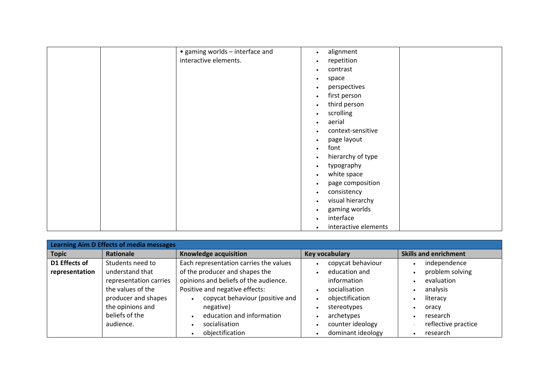| • gaming worlds - interface and | alignment<br>$\bullet$         |
|---------------------------------|--------------------------------|
| interactive elements.           | repetition                     |
|                                 | $\bullet$                      |
|                                 | contrast<br>٠                  |
|                                 | space<br>٠                     |
|                                 | perspectives<br>$\bullet$      |
|                                 | first person<br>$\bullet$      |
|                                 | third person                   |
|                                 | scrolling<br>٠                 |
|                                 | aerial                         |
|                                 | $\bullet$                      |
|                                 | context-sensitive<br>٠         |
|                                 | page layout<br>٠               |
|                                 | font<br>$\bullet$              |
|                                 | hierarchy of type<br>$\bullet$ |
|                                 | typography<br>$\bullet$        |
|                                 | white space<br>$\bullet$       |
|                                 | page composition<br>$\bullet$  |
|                                 | consistency<br>$\bullet$       |
|                                 | visual hierarchy<br>٠          |
|                                 | gaming worlds<br>٠             |
|                                 | interface<br>$\bullet$         |
|                                 |                                |
|                                 | interactive elements<br>٠      |

| <b>Learning Aim D Effects of media messages</b> |                        |                                        |                         |                              |
|-------------------------------------------------|------------------------|----------------------------------------|-------------------------|------------------------------|
| <b>Topic</b>                                    | Rationale              | Knowledge acquisition                  | <b>Key vocabulary</b>   | <b>Skills and enrichment</b> |
| D1 Effects of                                   | Students need to       | Each representation carries the values | copycat behaviour       | independence<br>$\bullet$    |
| representation                                  | understand that        | of the producer and shapes the         | education and           | problem solving<br>$\bullet$ |
|                                                 | representation carries | opinions and beliefs of the audience.  | information             | evaluation<br>$\bullet$      |
|                                                 | the values of the      | Positive and negative effects:         | socialisation<br>٠      | analysis<br>$\bullet$        |
|                                                 | producer and shapes    | copycat behaviour (positive and        | objectification<br>٠    | literacy<br>$\bullet$        |
|                                                 | the opinions and       | negative)                              | stereotypes             | oracy                        |
|                                                 | beliefs of the         | education and information              | archetypes<br>$\bullet$ | research<br>$\bullet$        |
|                                                 | audience.              | socialisation                          | counter ideology        | reflective practice          |
|                                                 |                        | objectification                        | dominant ideology       | research<br>$\bullet$        |